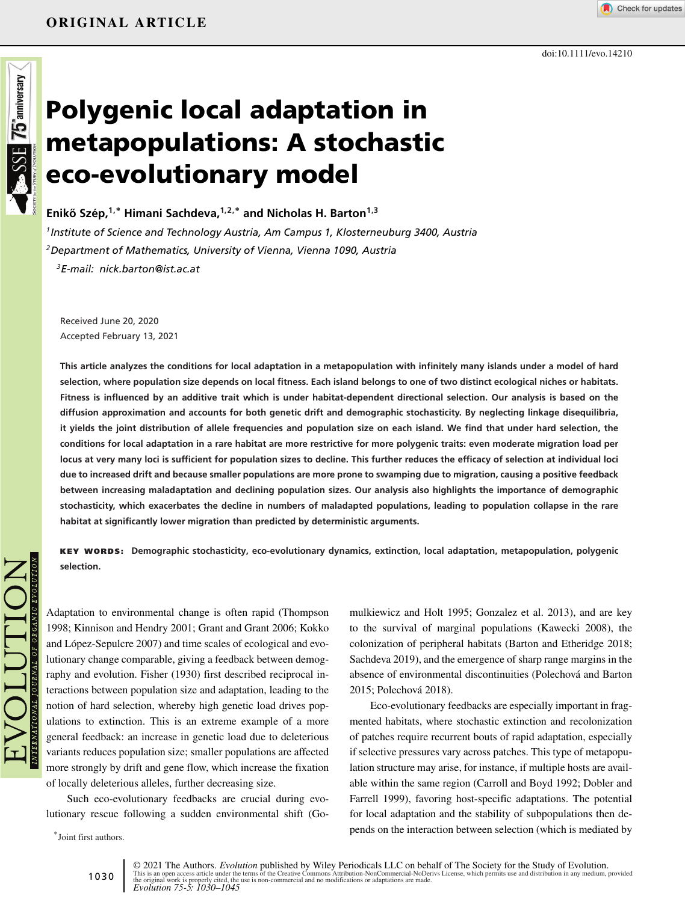

# **Polygenic local adaptation in metapopulations: A stochastic eco-evolutionary model**

**Eniko Szép, ˝ 1,<sup>∗</sup> Himani Sachdeva,1,2,<sup>∗</sup> and Nicholas H. Barton1,3**

*1Institute of Science and Technology Austria, Am Campus 1, Klosterneuburg 3400, Austria 2Department of Mathematics, University of Vienna, Vienna 1090, Austria 3E-mail: nick.barton@ist.ac.at*

Received June 20, 2020 Accepted February 13, 2021

**This article analyzes the conditions for local adaptation in a metapopulation with infinitely many islands under a model of hard selection, where population size depends on local fitness. Each island belongs to one of two distinct ecological niches or habitats. Fitness is influenced by an additive trait which is under habitat-dependent directional selection. Our analysis is based on the diffusion approximation and accounts for both genetic drift and demographic stochasticity. By neglecting linkage disequilibria, it yields the joint distribution of allele frequencies and population size on each island. We find that under hard selection, the conditions for local adaptation in a rare habitat are more restrictive for more polygenic traits: even moderate migration load per locus at very many loci is sufficient for population sizes to decline. This further reduces the efficacy of selection at individual loci due to increased drift and because smaller populations are more prone to swamping due to migration, causing a positive feedback between increasing maladaptation and declining population sizes. Our analysis also highlights the importance of demographic stochasticity, which exacerbates the decline in numbers of maladapted populations, leading to population collapse in the rare habitat at significantly lower migration than predicted by deterministic arguments.**

**KEY WORDS: Demographic stochasticity, eco-evolutionary dynamics, extinction, local adaptation, metapopulation, polygenic selection.**

Adaptation to environmental change is often rapid (Thompson 1998; Kinnison and Hendry 2001; Grant and Grant 2006; Kokko and López-Sepulcre 2007) and time scales of ecological and evolutionary change comparable, giving a feedback between demography and evolution. Fisher (1930) first described reciprocal interactions between population size and adaptation, leading to the notion of hard selection, whereby high genetic load drives populations to extinction. This is an extreme example of a more general feedback: an increase in genetic load due to deleterious variants reduces population size; smaller populations are affected more strongly by drift and gene flow, which increase the fixation of locally deleterious alleles, further decreasing size.

Such eco-evolutionary feedbacks are crucial during evolutionary rescue following a sudden environmental shift (Go-

∗ Joint first authors.

mulkiewicz and Holt 1995; Gonzalez et al. 2013), and are key to the survival of marginal populations (Kawecki 2008), the colonization of peripheral habitats (Barton and Etheridge 2018; Sachdeva 2019), and the emergence of sharp range margins in the absence of environmental discontinuities (Polechová and Barton 2015; Polechová 2018).

Eco-evolutionary feedbacks are especially important in fragmented habitats, where stochastic extinction and recolonization of patches require recurrent bouts of rapid adaptation, especially if selective pressures vary across patches. This type of metapopulation structure may arise, for instance, if multiple hosts are available within the same region (Carroll and Boyd 1992; Dobler and Farrell 1999), favoring host-specific adaptations. The potential for local adaptation and the stability of subpopulations then depends on the interaction between selection (which is mediated by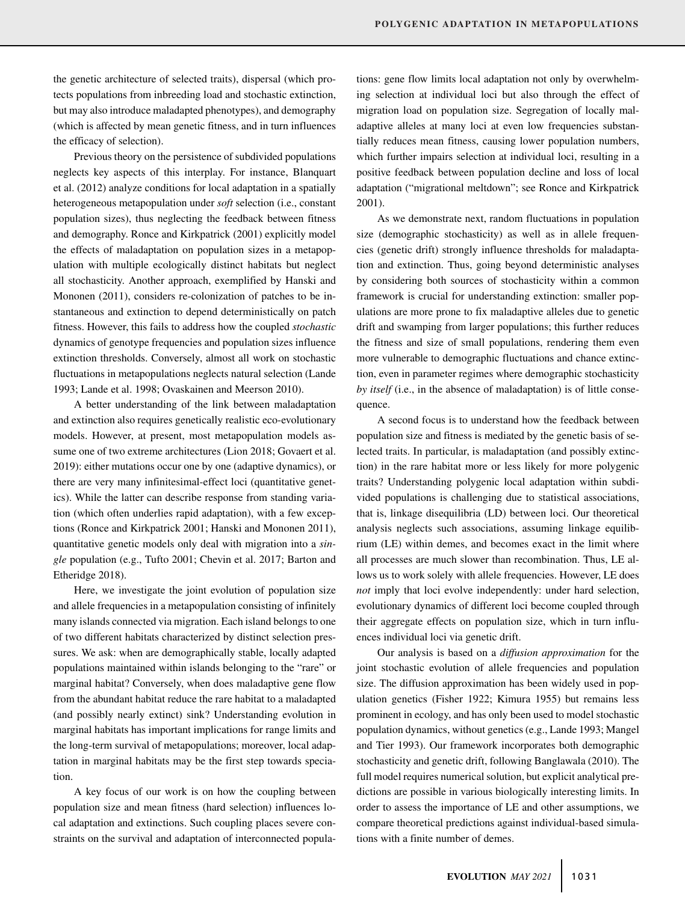the genetic architecture of selected traits), dispersal (which protects populations from inbreeding load and stochastic extinction, but may also introduce maladapted phenotypes), and demography (which is affected by mean genetic fitness, and in turn influences the efficacy of selection).

Previous theory on the persistence of subdivided populations neglects key aspects of this interplay. For instance, Blanquart et al. (2012) analyze conditions for local adaptation in a spatially heterogeneous metapopulation under *soft* selection (i.e., constant population sizes), thus neglecting the feedback between fitness and demography. Ronce and Kirkpatrick (2001) explicitly model the effects of maladaptation on population sizes in a metapopulation with multiple ecologically distinct habitats but neglect all stochasticity. Another approach, exemplified by Hanski and Mononen (2011), considers re-colonization of patches to be instantaneous and extinction to depend deterministically on patch fitness. However, this fails to address how the coupled *stochastic* dynamics of genotype frequencies and population sizes influence extinction thresholds. Conversely, almost all work on stochastic fluctuations in metapopulations neglects natural selection (Lande 1993; Lande et al. 1998; Ovaskainen and Meerson 2010).

A better understanding of the link between maladaptation and extinction also requires genetically realistic eco-evolutionary models. However, at present, most metapopulation models assume one of two extreme architectures (Lion 2018; Govaert et al. 2019): either mutations occur one by one (adaptive dynamics), or there are very many infinitesimal-effect loci (quantitative genetics). While the latter can describe response from standing variation (which often underlies rapid adaptation), with a few exceptions (Ronce and Kirkpatrick 2001; Hanski and Mononen 2011), quantitative genetic models only deal with migration into a *single* population (e.g., Tufto 2001; Chevin et al. 2017; Barton and Etheridge 2018).

Here, we investigate the joint evolution of population size and allele frequencies in a metapopulation consisting of infinitely many islands connected via migration. Each island belongs to one of two different habitats characterized by distinct selection pressures. We ask: when are demographically stable, locally adapted populations maintained within islands belonging to the "rare" or marginal habitat? Conversely, when does maladaptive gene flow from the abundant habitat reduce the rare habitat to a maladapted (and possibly nearly extinct) sink? Understanding evolution in marginal habitats has important implications for range limits and the long-term survival of metapopulations; moreover, local adaptation in marginal habitats may be the first step towards speciation.

A key focus of our work is on how the coupling between population size and mean fitness (hard selection) influences local adaptation and extinctions. Such coupling places severe constraints on the survival and adaptation of interconnected populations: gene flow limits local adaptation not only by overwhelming selection at individual loci but also through the effect of migration load on population size. Segregation of locally maladaptive alleles at many loci at even low frequencies substantially reduces mean fitness, causing lower population numbers, which further impairs selection at individual loci, resulting in a positive feedback between population decline and loss of local adaptation ("migrational meltdown"; see Ronce and Kirkpatrick 2001).

As we demonstrate next, random fluctuations in population size (demographic stochasticity) as well as in allele frequencies (genetic drift) strongly influence thresholds for maladaptation and extinction. Thus, going beyond deterministic analyses by considering both sources of stochasticity within a common framework is crucial for understanding extinction: smaller populations are more prone to fix maladaptive alleles due to genetic drift and swamping from larger populations; this further reduces the fitness and size of small populations, rendering them even more vulnerable to demographic fluctuations and chance extinction, even in parameter regimes where demographic stochasticity *by itself* (i.e., in the absence of maladaptation) is of little consequence.

A second focus is to understand how the feedback between population size and fitness is mediated by the genetic basis of selected traits. In particular, is maladaptation (and possibly extinction) in the rare habitat more or less likely for more polygenic traits? Understanding polygenic local adaptation within subdivided populations is challenging due to statistical associations, that is, linkage disequilibria (LD) between loci. Our theoretical analysis neglects such associations, assuming linkage equilibrium (LE) within demes, and becomes exact in the limit where all processes are much slower than recombination. Thus, LE allows us to work solely with allele frequencies. However, LE does *not* imply that loci evolve independently: under hard selection, evolutionary dynamics of different loci become coupled through their aggregate effects on population size, which in turn influences individual loci via genetic drift.

Our analysis is based on a *diffusion approximation* for the joint stochastic evolution of allele frequencies and population size. The diffusion approximation has been widely used in population genetics (Fisher 1922; Kimura 1955) but remains less prominent in ecology, and has only been used to model stochastic population dynamics, without genetics (e.g., Lande 1993; Mangel and Tier 1993). Our framework incorporates both demographic stochasticity and genetic drift, following Banglawala (2010). The full model requires numerical solution, but explicit analytical predictions are possible in various biologically interesting limits. In order to assess the importance of LE and other assumptions, we compare theoretical predictions against individual-based simulations with a finite number of demes.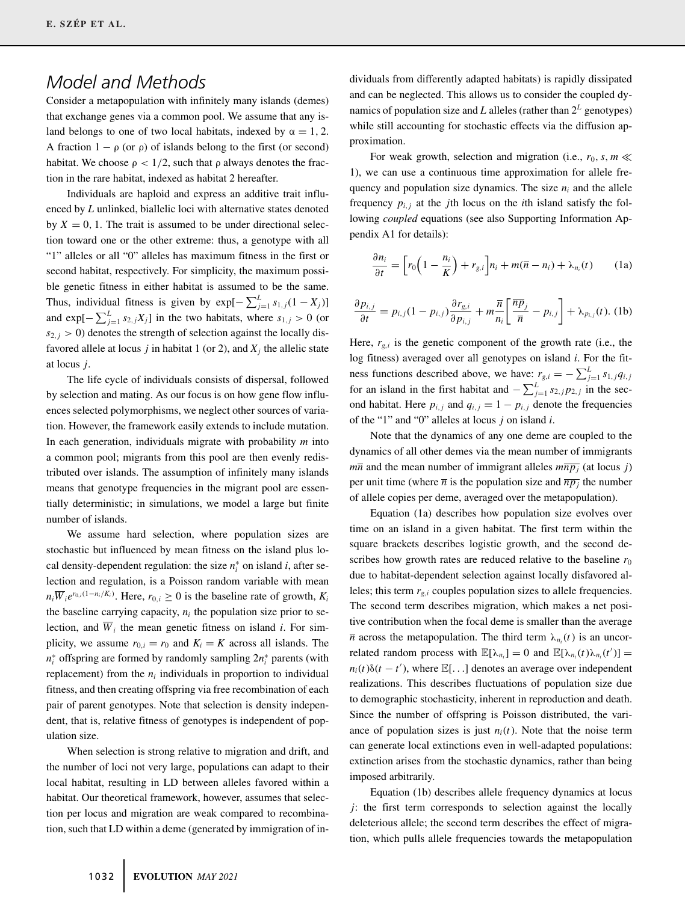# *Model and Methods*

Consider a metapopulation with infinitely many islands (demes) that exchange genes via a common pool. We assume that any island belongs to one of two local habitats, indexed by  $\alpha = 1, 2$ . A fraction  $1 - \rho$  (or  $\rho$ ) of islands belong to the first (or second) habitat. We choose  $\rho < 1/2$ , such that  $\rho$  always denotes the fraction in the rare habitat, indexed as habitat 2 hereafter.

Individuals are haploid and express an additive trait influenced by *L* unlinked, biallelic loci with alternative states denoted by  $X = 0$ , 1. The trait is assumed to be under directional selection toward one or the other extreme: thus, a genotype with all "1" alleles or all "0" alleles has maximum fitness in the first or second habitat, respectively. For simplicity, the maximum possible genetic fitness in either habitat is assumed to be the same. Thus, individual fitness is given by  $exp[-\sum_{j=1}^{L} s_{1,j}(1 - X_j)]$ and  $\exp[-\sum_{j=1}^{L} s_{2,j}X_j]$  in the two habitats, where  $s_{1,j} > 0$  (or  $s_{2,j} > 0$ ) denotes the strength of selection against the locally disfavored allele at locus *j* in habitat 1 (or 2), and  $X_j$  the allelic state at locus *j*.

The life cycle of individuals consists of dispersal, followed by selection and mating. As our focus is on how gene flow influences selected polymorphisms, we neglect other sources of variation. However, the framework easily extends to include mutation. In each generation, individuals migrate with probability *m* into a common pool; migrants from this pool are then evenly redistributed over islands. The assumption of infinitely many islands means that genotype frequencies in the migrant pool are essentially deterministic; in simulations, we model a large but finite number of islands.

We assume hard selection, where population sizes are stochastic but influenced by mean fitness on the island plus local density-dependent regulation: the size  $n_i^*$  on island *i*, after selection and regulation, is a Poisson random variable with mean  $n_i \overline{W}_i e^{r_{0,i}(1-n_i/K_i)}$ . Here,  $r_{0,i} \ge 0$  is the baseline rate of growth,  $K_i$ the baseline carrying capacity,  $n_i$  the population size prior to selection, and  $\overline{W}_i$  the mean genetic fitness on island *i*. For simplicity, we assume  $r_{0,i} = r_0$  and  $K_i = K$  across all islands. The *n*<sup>∗</sup> offspring are formed by randomly sampling 2*n*<sup>∗</sup> parents (with replacement) from the  $n_i$  individuals in proportion to individual fitness, and then creating offspring via free recombination of each pair of parent genotypes. Note that selection is density independent, that is, relative fitness of genotypes is independent of population size.

When selection is strong relative to migration and drift, and the number of loci not very large, populations can adapt to their local habitat, resulting in LD between alleles favored within a habitat. Our theoretical framework, however, assumes that selection per locus and migration are weak compared to recombination, such that LD within a deme (generated by immigration of individuals from differently adapted habitats) is rapidly dissipated and can be neglected. This allows us to consider the coupled dynamics of population size and *L* alleles (rather than  $2^L$  genotypes) while still accounting for stochastic effects via the diffusion approximation.

For weak growth, selection and migration (i.e.,  $r_0$ ,  $s$ ,  $m \ll$ 1), we can use a continuous time approximation for allele frequency and population size dynamics. The size  $n_i$  and the allele frequency  $p_{i,j}$  at the *j*th locus on the *i*th island satisfy the following *coupled* equations (see also Supporting Information Appendix A1 for details):

$$
\frac{\partial n_i}{\partial t} = \left[ r_0 \left( 1 - \frac{n_i}{K} \right) + r_{g,i} \right] n_i + m(\overline{n} - n_i) + \lambda_{n_i}(t) \tag{1a}
$$

$$
\frac{\partial p_{i,j}}{\partial t} = p_{i,j}(1 - p_{i,j}) \frac{\partial r_{g,i}}{\partial p_{i,j}} + m \frac{\overline{n}}{n_i} \left[ \frac{\overline{n} \overline{p}_j}{\overline{n}} - p_{i,j} \right] + \lambda_{p_{i,j}}(t). \tag{1b}
$$

Here,  $r_{g,i}$  is the genetic component of the growth rate (i.e., the log fitness) averaged over all genotypes on island *i*. For the fitness functions described above, we have:  $r_{g,i} = -\sum_{j=1}^{L} s_{1,j} q_{i,j}$ for an island in the first habitat and  $-\sum_{j=1}^{L} s_{2,j} p_{2,j}$  in the second habitat. Here  $p_{i,j}$  and  $q_{i,j} = 1 - p_{i,j}$  denote the frequencies of the "1" and "0" alleles at locus *j* on island *i*.

Note that the dynamics of any one deme are coupled to the dynamics of all other demes via the mean number of immigrants  $m\overline{n}$  and the mean number of immigrant alleles  $m\overline{n}\overline{p}_i$  (at locus *j*) per unit time (where  $\bar{n}$  is the population size and  $\bar{n}$ <sub>*p*j</sub> the number of allele copies per deme, averaged over the metapopulation).

Equation (1a) describes how population size evolves over time on an island in a given habitat. The first term within the square brackets describes logistic growth, and the second describes how growth rates are reduced relative to the baseline  $r_0$ due to habitat-dependent selection against locally disfavored alleles; this term  $r_{g,i}$  couples population sizes to allele frequencies. The second term describes migration, which makes a net positive contribution when the focal deme is smaller than the average  $\overline{n}$  across the metapopulation. The third term  $\lambda_{n}$  (*t*) is an uncorrelated random process with  $\mathbb{E}[\lambda_{n_i}] = 0$  and  $\mathbb{E}[\lambda_{n_i}(t)\lambda_{n_i}(t')] =$  $n_i(t)\delta(t - t')$ , where  $\mathbb{E}[\dots]$  denotes an average over independent realizations. This describes fluctuations of population size due to demographic stochasticity, inherent in reproduction and death. Since the number of offspring is Poisson distributed, the variance of population sizes is just  $n_i(t)$ . Note that the noise term can generate local extinctions even in well-adapted populations: extinction arises from the stochastic dynamics, rather than being imposed arbitrarily.

Equation (1b) describes allele frequency dynamics at locus *j*: the first term corresponds to selection against the locally deleterious allele; the second term describes the effect of migration, which pulls allele frequencies towards the metapopulation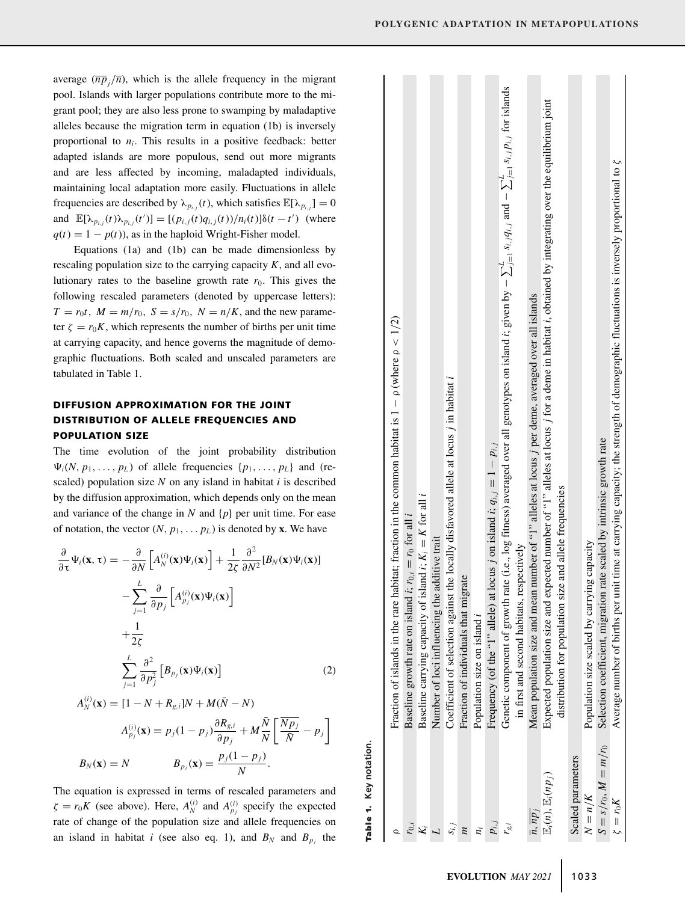average  $(\overline{np}_i/\overline{n})$ , which is the allele frequency in the migrant pool. Islands with larger populations contribute more to the migrant pool; they are also less prone to swamping by maladaptive alleles because the migration term in equation (1b) is inversely proportional to  $n_i$ . This results in a positive feedback: better adapted islands are more populous, send out more migrants and are less affected by incoming, maladapted individuals, maintaining local adaptation more easily. Fluctuations in allele frequencies are described by  $\lambda_{p_{i,j}}(t)$ , which satisfies  $\mathbb{E}[\lambda_{p_{i,j}}] = 0$ and  $\mathbb{E}[\lambda_{p_{i,j}}(t)\lambda_{p_{i,j}}(t')] = [(p_{i,j}(t)q_{i,j}(t))/n_i(t)]\delta(t-t')$  (where  $q(t) = 1 - p(t)$ , as in the haploid Wright-Fisher model.

Equations (1a) and (1b) can be made dimensionless by rescaling population size to the carrying capacity  $K$ , and all evolutionary rates to the baseline growth rate  $r_0$ . This gives the following rescaled parameters (denoted by uppercase letters):  $T = r_0 t$ ,  $M = m/r_0$ ,  $S = s/r_0$ ,  $N = n/K$ , and the new parameter  $\zeta = r_0 K$ , which represents the number of births per unit time at carrying capacity, and hence governs the magnitude of demographic fluctuations. Both scaled and unscaled parameters are tabulated in Table 1.

# **DIFFUSION APPROXIMATION FOR THE JOINT DISTRIBUTION OF ALLELE FREQUENCIES AND POPULATION SIZE**

The time evolution of the joint probability distribution  $\Psi_i(N, p_1, \ldots, p_L)$  of allele frequencies  $\{p_1, \ldots, p_L\}$  and (rescaled) population size *N* on any island in habitat *i* is described by the diffusion approximation, which depends only on the mean and variance of the change in  $N$  and  $\{p\}$  per unit time. For ease of notation, the vector  $(N, p_1, \ldots, p_L)$  is denoted by **x**. We have

$$
\frac{\partial}{\partial \tau} \Psi_i(\mathbf{x}, \tau) = -\frac{\partial}{\partial N} \left[ A_N^{(i)}(\mathbf{x}) \Psi_i(\mathbf{x}) \right] + \frac{1}{2\zeta} \frac{\partial^2}{\partial N^2} [B_N(\mathbf{x}) \Psi_i(\mathbf{x})] \n- \sum_{j=1}^L \frac{\partial}{\partial p_j} \left[ A_{p_j}^{(i)}(\mathbf{x}) \Psi_i(\mathbf{x}) \right] \n+ \frac{1}{2\zeta} \n\sum_{j=1}^L \frac{\partial^2}{\partial p_j^2} \left[ B_{p_j}(\mathbf{x}) \Psi_i(\mathbf{x}) \right]
$$
\n(2)

$$
A_N^{(i)}(\mathbf{x}) = [1 - N + R_{g,i}]N + M(\bar{N} - N)
$$
  
\n
$$
A_{p_j}^{(i)}(\mathbf{x}) = p_j(1 - p_j)\frac{\partial R_{g,i}}{\partial p_j} + M\frac{\bar{N}}{N}\left[\frac{\overline{N p_j}}{\bar{N}} - p_j\right]
$$
  
\n
$$
B_N(\mathbf{x}) = N \qquad B_{p_j}(\mathbf{x}) = \frac{p_j(1 - p_j)}{N}.
$$

The equation is expressed in terms of rescaled parameters and  $\zeta = r_0 K$  (see above). Here,  $A_N^{(i)}$  and  $A_{p_j}^{(i)}$  specify the expected rate of change of the population size and allele frequencies on an island in habitat *i* (see also eq. 1), and  $B_N$  and  $B_p$  the

| Table 1. Key notation.                   |                                                                                                                                                                                                               |
|------------------------------------------|---------------------------------------------------------------------------------------------------------------------------------------------------------------------------------------------------------------|
|                                          | Fraction of islands in the rare habitat; fraction in the common habitat is $1 - \rho$ (where $\rho < 1/2$ )                                                                                                   |
| $r_{0,i}$                                | Baseline growth rate on island <i>i</i> ; $r_{0,i} = r_0$ for all <i>i</i>                                                                                                                                    |
|                                          | Baseline carrying capacity of island $i$ ; $K_i = K$ for all <i>i</i>                                                                                                                                         |
|                                          | Number of loci influencing the additive trait                                                                                                                                                                 |
|                                          | Coefficient of selection against the locally distavored allele at locus j in habitat i                                                                                                                        |
| E                                        | Fraction of individuals that migrate                                                                                                                                                                          |
| Ë,                                       | Population size on island i                                                                                                                                                                                   |
| $p_{i,j}$                                | Frequency (of the "1" allele) at locus j on island i; $q_{i,j} = 1 - p_{i,j}$                                                                                                                                 |
| r <sub>g,i</sub>                         | Genetic component of growth rate (i.e., log fitness) averaged over all genotypes on island i; given by $-\sum_{j=1}^{t} s_{i,j}q_{i,j}$ and $-\sum_{j=1}^{L} s_{i,j}p_{i,j}$ for islands                      |
|                                          | in first and second habitats, respectively                                                                                                                                                                    |
| $\overline{n}, \overline{np}_i$          | Mean population size and mean number of "1" alleles at locus j per deme, averaged over all islands                                                                                                            |
| $\mathbb{E}_i(n)$ , $\mathbb{E}_i(np_i)$ | Expected population size and expected number of "1" alleles at locus j for a deme in habitat i, obtained by integrating over the equilibrium joint<br>distribution for population size and allele frequencies |
| Scaled parameters                        |                                                                                                                                                                                                               |
| $N = n/K$                                | Population size scaled by carrying capacity                                                                                                                                                                   |
| $S = s/r_0, M = m/r_0$                   | Selection coefficient, migration rate scaled by intrinsic growth rate                                                                                                                                         |
| $\zeta = r_0 K$                          | Average number of births per unit time at carrying capacity; the strength of demographic fluctuations is inversely proportional to $\xi$                                                                      |
|                                          |                                                                                                                                                                                                               |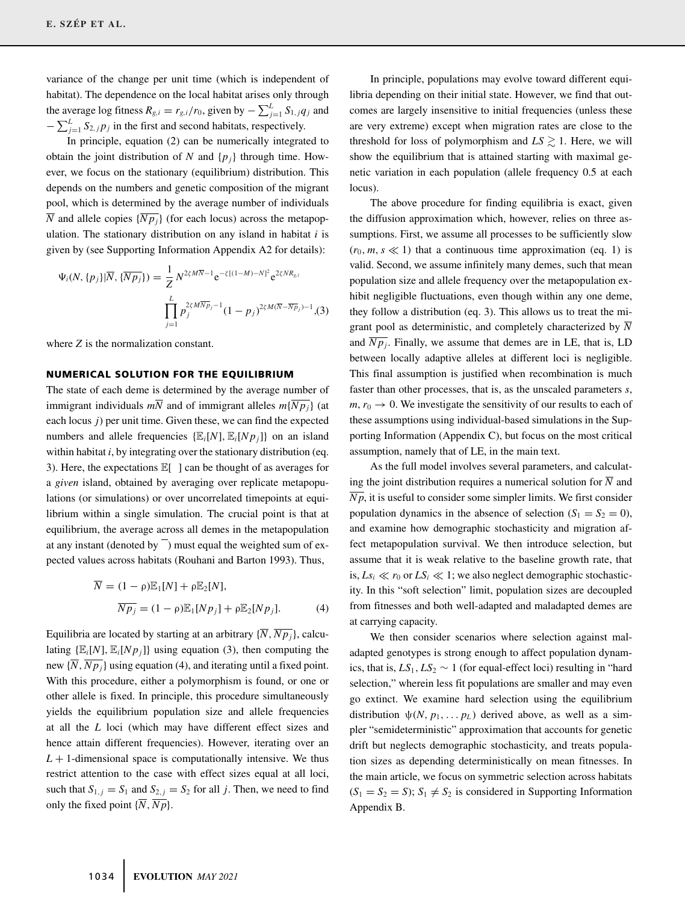variance of the change per unit time (which is independent of habitat). The dependence on the local habitat arises only through the average log fitness  $R_{g,i} = r_{g,i}/r_0$ , given by  $-\sum_{j=1}^{L} S_{1,j} q_j$  and  $-\sum_{j=1}^{L} S_{2,j} p_j$  in the first and second habitats, respectively.

In principle, equation (2) can be numerically integrated to obtain the joint distribution of *N* and  $\{p_i\}$  through time. However, we focus on the stationary (equilibrium) distribution. This depends on the numbers and genetic composition of the migrant pool, which is determined by the average number of individuals  $\overline{N}$  and allele copies  $\{\overline{Np_j}\}$  (for each locus) across the metapopulation. The stationary distribution on any island in habitat *i* is given by (see Supporting Information Appendix A2 for details):

$$
\Psi_i(N, \{p_j\}|\overline{N}, \{\overline{Np_j}\}) = \frac{1}{Z} N^{2\zeta M \overline{N} - 1} e^{-\zeta[(1-M) - N]^2} e^{2\zeta N R_{g,i}} \n\prod_{j=1}^{L} p_j^{2\zeta M \overline{N} p_j - 1} (1 - p_j)^{2\zeta M (\overline{N} - \overline{N} p_j) - 1}, (3)
$$

where *Z* is the normalization constant.

## **NUMERICAL SOLUTION FOR THE EQUILIBRIUM**

The state of each deme is determined by the average number of immigrant individuals  $m\overline{N}$  and of immigrant alleles  $m\{\overline{Np_i}\}\$  (at each locus *j*) per unit time. Given these, we can find the expected numbers and allele frequencies  $\{\mathbb{E}_i[N], \mathbb{E}_i[Np_j]\}$  on an island within habitat *i*, by integrating over the stationary distribution (eq. 3). Here, the expectations E[ ] can be thought of as averages for a *given* island, obtained by averaging over replicate metapopulations (or simulations) or over uncorrelated timepoints at equilibrium within a single simulation. The crucial point is that at equilibrium, the average across all demes in the metapopulation at any instant (denoted by  $\overline{\phantom{a}}$ ) must equal the weighted sum of expected values across habitats (Rouhani and Barton 1993). Thus,

$$
\overline{N} = (1 - \rho)\mathbb{E}_1[N] + \rho\mathbb{E}_2[N],
$$
  
\n
$$
\overline{N p_j} = (1 - \rho)\mathbb{E}_1[N p_j] + \rho\mathbb{E}_2[N p_j].
$$
\n(4)

Equilibria are located by starting at an arbitrary  $\{\overline{N}, \overline{N}p_i\}$ , calculating  $\{\mathbb{E}_i[N], \mathbb{E}_i[N_{p_i}]\}$  using equation (3), then computing the new  $\{\overline{N}, \overline{Np_i}\}$  using equation (4), and iterating until a fixed point. With this procedure, either a polymorphism is found, or one or other allele is fixed. In principle, this procedure simultaneously yields the equilibrium population size and allele frequencies at all the *L* loci (which may have different effect sizes and hence attain different frequencies). However, iterating over an  $L + 1$ -dimensional space is computationally intensive. We thus restrict attention to the case with effect sizes equal at all loci, such that  $S_{1,j} = S_1$  and  $S_{2,j} = S_2$  for all *j*. Then, we need to find only the fixed point  $\{\overline{N}, \overline{Np}\}.$ 

In principle, populations may evolve toward different equilibria depending on their initial state. However, we find that outcomes are largely insensitive to initial frequencies (unless these are very extreme) except when migration rates are close to the threshold for loss of polymorphism and  $LS \gtrsim 1$ . Here, we will show the equilibrium that is attained starting with maximal genetic variation in each population (allele frequency 0.5 at each locus).

The above procedure for finding equilibria is exact, given the diffusion approximation which, however, relies on three assumptions. First, we assume all processes to be sufficiently slow  $(r_0, m, s \ll 1)$  that a continuous time approximation (eq. 1) is valid. Second, we assume infinitely many demes, such that mean population size and allele frequency over the metapopulation exhibit negligible fluctuations, even though within any one deme, they follow a distribution (eq. 3). This allows us to treat the migrant pool as deterministic, and completely characterized by  $\overline{N}$ and  $\overline{N}p_i$ . Finally, we assume that demes are in LE, that is, LD between locally adaptive alleles at different loci is negligible. This final assumption is justified when recombination is much faster than other processes, that is, as the unscaled parameters *s*,  $m, r_0 \rightarrow 0$ . We investigate the sensitivity of our results to each of these assumptions using individual-based simulations in the Supporting Information (Appendix C), but focus on the most critical assumption, namely that of LE, in the main text.

As the full model involves several parameters, and calculating the joint distribution requires a numerical solution for  $\overline{N}$  and  $\overline{Np}$ , it is useful to consider some simpler limits. We first consider population dynamics in the absence of selection  $(S_1 = S_2 = 0)$ , and examine how demographic stochasticity and migration affect metapopulation survival. We then introduce selection, but assume that it is weak relative to the baseline growth rate, that is,  $Ls_i \ll r_0$  or  $LS_i \ll 1$ ; we also neglect demographic stochasticity. In this "soft selection" limit, population sizes are decoupled from fitnesses and both well-adapted and maladapted demes are at carrying capacity.

We then consider scenarios where selection against maladapted genotypes is strong enough to affect population dynamics, that is,  $LS_1$ ,  $LS_2 \sim 1$  (for equal-effect loci) resulting in "hard selection," wherein less fit populations are smaller and may even go extinct. We examine hard selection using the equilibrium distribution  $\psi(N, p_1, \dots, p_L)$  derived above, as well as a simpler "semideterministic" approximation that accounts for genetic drift but neglects demographic stochasticity, and treats population sizes as depending deterministically on mean fitnesses. In the main article, we focus on symmetric selection across habitats  $(S_1 = S_2 = S)$ ;  $S_1 \neq S_2$  is considered in Supporting Information Appendix B.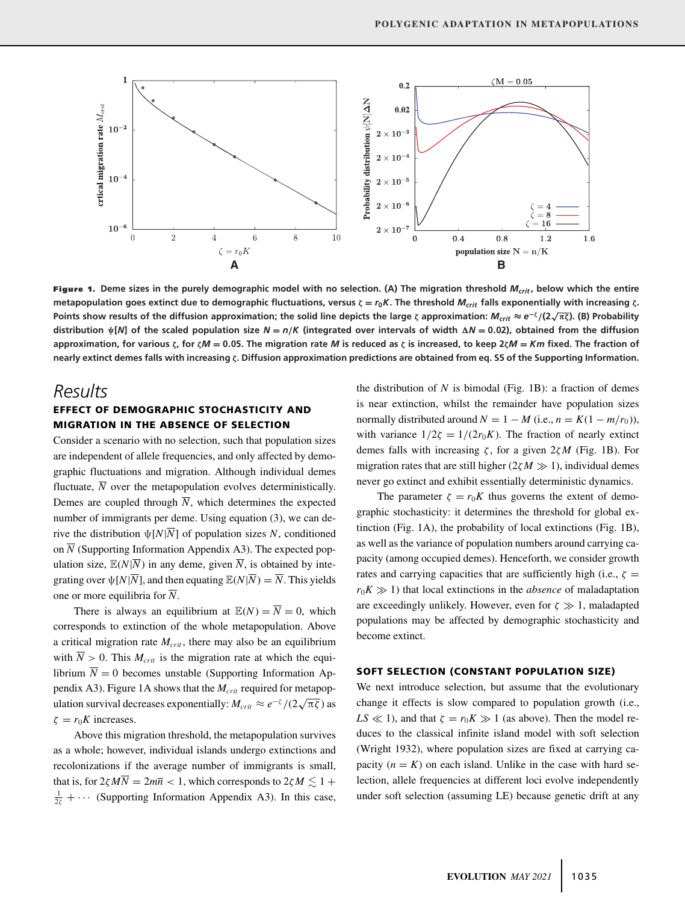

Figure 1. Deme sizes in the purely demographic model with no selection. (A) The migration threshold  $M_{crit}$ , below which the entire **metapopulation goes extinct due to demographic fluctuations, versus**  $\zeta = r_0 K$ **. The threshold**  $M_{crit}$  **falls exponentially with increasing**  $\zeta$ **. Points show results of the diffusion approximation; the solid line depicts the large** *ζ* **approximation:**  $M_{crit} \approx e^{-\zeta}/(2\sqrt{\pi\zeta})$ **. (B) Probability** distribution  $\psi[N]$  of the scaled population size  $N=n/K$  (integrated over intervals of width  $\Delta N=0.02$ ), obtained from the diffusion approximation, for various  $\zeta$ , for  $\zeta M = 0.05$ . The migration rate M is reduced as  $\zeta$  is increased, to keep 2 $\zeta M = Km$  fixed. The fraction of **nearly extinct demes falls with increasing ζ. Diffusion approximation predictions are obtained from eq. S5 of the Supporting Information.**

# *Results*

# **EFFECT OF DEMOGRAPHIC STOCHASTICITY AND MIGRATION IN THE ABSENCE OF SELECTION**

Consider a scenario with no selection, such that population sizes are independent of allele frequencies, and only affected by demographic fluctuations and migration. Although individual demes fluctuate,  $\overline{N}$  over the metapopulation evolves deterministically. Demes are coupled through  $\overline{N}$ , which determines the expected number of immigrants per deme. Using equation (3), we can derive the distribution  $\psi[N|\overline{N}]$  of population sizes *N*, conditioned on  $\overline{N}$  (Supporting Information Appendix A3). The expected population size,  $\mathbb{E}(N|\overline{N})$  in any deme, given  $\overline{N}$ , is obtained by integrating over  $\psi[N|\overline{N}]$ , and then equating  $\mathbb{E}(N|\overline{N}) = \overline{N}$ . This yields one or more equilibria for  $\overline{N}$ .

There is always an equilibrium at  $\mathbb{E}(N) = \overline{N} = 0$ , which corresponds to extinction of the whole metapopulation. Above a critical migration rate  $M_{crit}$ , there may also be an equilibrium with  $\overline{N} > 0$ . This  $M_{crit}$  is the migration rate at which the equilibrium  $\overline{N} = 0$  becomes unstable (Supporting Information Appendix A3). Figure 1A shows that the  $M_{crit}$  required for metapopulation survival decreases exponentially:  $M_{crit} \approx e^{-\zeta}/(2\sqrt{\pi\zeta})$  as  $\zeta = r_0 K$  increases.

Above this migration threshold, the metapopulation survives as a whole; however, individual islands undergo extinctions and recolonizations if the average number of immigrants is small, that is, for  $2\zeta M\overline{N} = 2m\overline{n} < 1$ , which corresponds to  $2\zeta M \lesssim 1 +$  $\frac{1}{2\zeta} + \cdots$  (Supporting Information Appendix A3). In this case, the distribution of  $N$  is bimodal (Fig. 1B): a fraction of demes is near extinction, whilst the remainder have population sizes normally distributed around  $N = 1 - M$  (i.e.,  $n = K(1 - m/r_0)$ ), with variance  $1/2\zeta = 1/(2r_0K)$ . The fraction of nearly extinct demes falls with increasing ζ , for a given 2ζ*M* (Fig. 1B). For migration rates that are still higher  $(2\zeta M \gg 1)$ , individual demes never go extinct and exhibit essentially deterministic dynamics.

The parameter  $\zeta = r_0 K$  thus governs the extent of demographic stochasticity: it determines the threshold for global extinction (Fig. 1A), the probability of local extinctions (Fig. 1B), as well as the variance of population numbers around carrying capacity (among occupied demes). Henceforth, we consider growth rates and carrying capacities that are sufficiently high (i.e.,  $\zeta =$  $r_0K \gg 1$ ) that local extinctions in the *absence* of maladaptation are exceedingly unlikely. However, even for  $\zeta \gg 1$ , maladapted populations may be affected by demographic stochasticity and become extinct.

### **SOFT SELECTION (CONSTANT POPULATION SIZE)**

We next introduce selection, but assume that the evolutionary change it effects is slow compared to population growth (i.e.,  $LS \ll 1$ ), and that  $\zeta = r_0 K \gg 1$  (as above). Then the model reduces to the classical infinite island model with soft selection (Wright 1932), where population sizes are fixed at carrying capacity  $(n = K)$  on each island. Unlike in the case with hard selection, allele frequencies at different loci evolve independently under soft selection (assuming LE) because genetic drift at any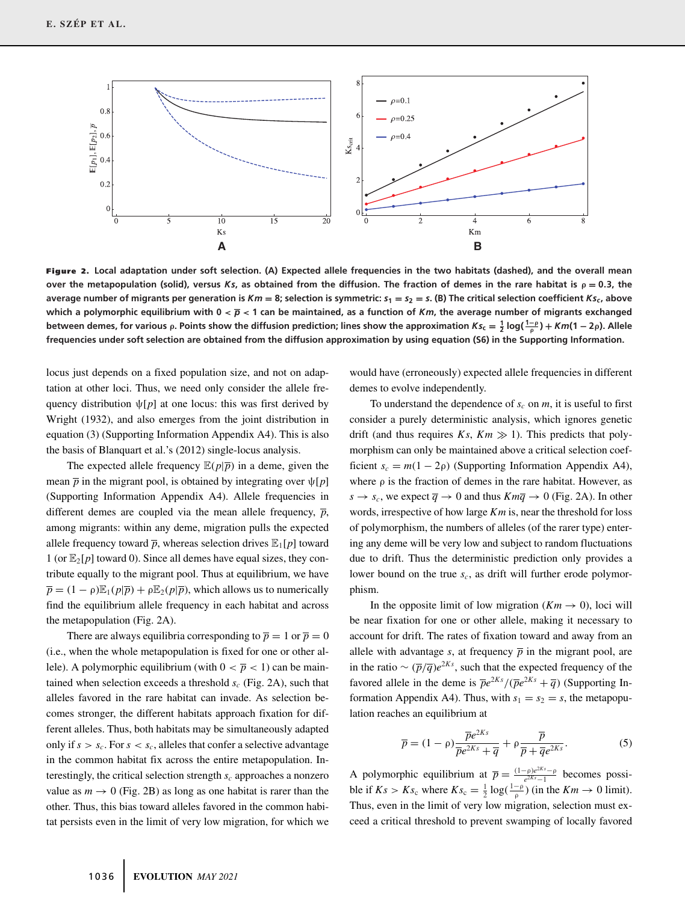

**Figure 2. Local adaptation under soft selection. (A) Expected allele frequencies in the two habitats (dashed), and the overall mean over the metapopulation (solid), versus**  $Ks$ **, as obtained from the diffusion. The fraction of demes in the rare habitat is**  $\rho = 0.3$ **, the** average number of migrants per generation is  $Km = 8$ ; selection is symmetric:  $s_1 = s_2 = s$ . (B) The critical selection coefficient  $Ks_c$ , above which a polymorphic equilibrium with  $0 < \overline{p} < 1$  can be maintained, as a function of *Km*, the average number of migrants exchanged between demes, for various  $\rho$ . Points show the diffusion prediction; lines show the approximation  $Ks_{{\sf c}}=\frac{1}{2}\log(\frac{1-\rho}{\rho})+Km(1-2\rho).$  Allele **frequencies under soft selection are obtained from the diffusion approximation by using equation (S6) in the Supporting Information.**

locus just depends on a fixed population size, and not on adaptation at other loci. Thus, we need only consider the allele frequency distribution  $\psi[p]$  at one locus: this was first derived by Wright (1932), and also emerges from the joint distribution in equation (3) (Supporting Information Appendix A4). This is also the basis of Blanquart et al.'s (2012) single-locus analysis.

The expected allele frequency  $\mathbb{E}(p|\overline{p})$  in a deme, given the mean  $\bar{p}$  in the migrant pool, is obtained by integrating over  $\psi[p]$ (Supporting Information Appendix A4). Allele frequencies in different demes are coupled via the mean allele frequency,  $\bar{p}$ , among migrants: within any deme, migration pulls the expected allele frequency toward  $\bar{p}$ , whereas selection drives  $\mathbb{E}_{1}[p]$  toward 1 (or  $\mathbb{E}_2[p]$  toward 0). Since all demes have equal sizes, they contribute equally to the migrant pool. Thus at equilibrium, we have  $\overline{p} = (1 - \rho) \mathbb{E}_1(p|\overline{p}) + \rho \mathbb{E}_2(p|\overline{p})$ , which allows us to numerically find the equilibrium allele frequency in each habitat and across the metapopulation (Fig. 2A).

There are always equilibria corresponding to  $\overline{p} = 1$  or  $\overline{p} = 0$ (i.e., when the whole metapopulation is fixed for one or other allele). A polymorphic equilibrium (with  $0 < \overline{p} < 1$ ) can be maintained when selection exceeds a threshold  $s_c$  (Fig. 2A), such that alleles favored in the rare habitat can invade. As selection becomes stronger, the different habitats approach fixation for different alleles. Thus, both habitats may be simultaneously adapted only if  $s > s_c$ . For  $s < s_c$ , alleles that confer a selective advantage in the common habitat fix across the entire metapopulation. Interestingly, the critical selection strength  $s_c$  approaches a nonzero value as  $m \to 0$  (Fig. 2B) as long as one habitat is rarer than the other. Thus, this bias toward alleles favored in the common habitat persists even in the limit of very low migration, for which we would have (erroneously) expected allele frequencies in different demes to evolve independently.

To understand the dependence of  $s_c$  on  $m$ , it is useful to first consider a purely deterministic analysis, which ignores genetic drift (and thus requires  $Ks$ ,  $Km \gg 1$ ). This predicts that polymorphism can only be maintained above a critical selection coefficient  $s_c = m(1 - 2\rho)$  (Supporting Information Appendix A4), where  $\rho$  is the fraction of demes in the rare habitat. However, as  $s \rightarrow s_c$ , we expect  $\overline{q} \rightarrow 0$  and thus  $Km\overline{q} \rightarrow 0$  (Fig. 2A). In other words, irrespective of how large *Km* is, near the threshold for loss of polymorphism, the numbers of alleles (of the rarer type) entering any deme will be very low and subject to random fluctuations due to drift. Thus the deterministic prediction only provides a lower bound on the true  $s_c$ , as drift will further erode polymorphism.

In the opposite limit of low migration  $(Km \rightarrow 0)$ , loci will be near fixation for one or other allele, making it necessary to account for drift. The rates of fixation toward and away from an allele with advantage *s*, at frequency  $\bar{p}$  in the migrant pool, are in the ratio  $\sim (\overline{p}/\overline{q})e^{2Ks}$ , such that the expected frequency of the favored allele in the deme is  $\overline{p}e^{2Ks}/(\overline{p}e^{2Ks} + \overline{q})$  (Supporting Information Appendix A4). Thus, with  $s_1 = s_2 = s$ , the metapopulation reaches an equilibrium at

$$
\overline{p} = (1 - \rho) \frac{\overline{p}e^{2Ks}}{\overline{p}e^{2Ks} + \overline{q}} + \rho \frac{\overline{p}}{\overline{p} + \overline{q}e^{2Ks}}.
$$
(5)

A polymorphic equilibrium at  $\overline{p} = \frac{(1-p)e^{2Ks}-p}{e^{2Ks}-1}$  becomes possible if  $Ks > Ks_c$  where  $Ks_c = \frac{1}{2} \log(\frac{1-\rho}{\rho})$  (in the  $Km \to 0$  limit). Thus, even in the limit of very low migration, selection must exceed a critical threshold to prevent swamping of locally favored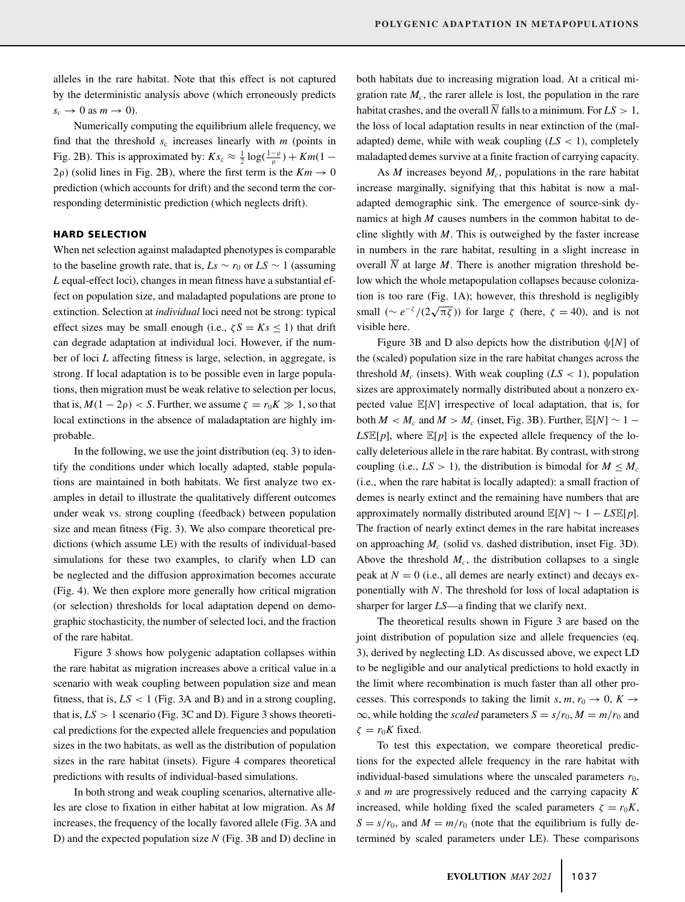alleles in the rare habitat. Note that this effect is not captured by the deterministic analysis above (which erroneously predicts  $s_c \rightarrow 0$  as  $m \rightarrow 0$ ).

Numerically computing the equilibrium allele frequency, we find that the threshold  $s_c$  increases linearly with  $m$  (points in Fig. 2B). This is approximated by:  $Ks_c \approx \frac{1}{2} \log(\frac{1-\rho}{\rho}) + Km(1-\rho)$ 2ρ) (solid lines in Fig. 2B), where the first term is the  $Km \to 0$ prediction (which accounts for drift) and the second term the corresponding deterministic prediction (which neglects drift).

#### **HARD SELECTION**

When net selection against maladapted phenotypes is comparable to the baseline growth rate, that is,  $Ls \sim r_0$  or  $LS \sim 1$  (assuming *L* equal-effect loci), changes in mean fitness have a substantial effect on population size, and maladapted populations are prone to extinction. Selection at *individual* loci need not be strong: typical effect sizes may be small enough (i.e.,  $\zeta S = Ks \le 1$ ) that drift can degrade adaptation at individual loci. However, if the number of loci *L* affecting fitness is large, selection, in aggregate, is strong. If local adaptation is to be possible even in large populations, then migration must be weak relative to selection per locus, that is,  $M(1 - 2\rho) < S$ . Further, we assume  $\zeta = r_0 K \gg 1$ , so that local extinctions in the absence of maladaptation are highly improbable.

In the following, we use the joint distribution (eq. 3) to identify the conditions under which locally adapted, stable populations are maintained in both habitats. We first analyze two examples in detail to illustrate the qualitatively different outcomes under weak vs. strong coupling (feedback) between population size and mean fitness (Fig. 3). We also compare theoretical predictions (which assume LE) with the results of individual-based simulations for these two examples, to clarify when LD can be neglected and the diffusion approximation becomes accurate (Fig. 4). We then explore more generally how critical migration (or selection) thresholds for local adaptation depend on demographic stochasticity, the number of selected loci, and the fraction of the rare habitat.

Figure 3 shows how polygenic adaptation collapses within the rare habitat as migration increases above a critical value in a scenario with weak coupling between population size and mean fitness, that is,  $LS < 1$  (Fig. 3A and B) and in a strong coupling, that is,  $LS > 1$  scenario (Fig. 3C and D). Figure 3 shows theoretical predictions for the expected allele frequencies and population sizes in the two habitats, as well as the distribution of population sizes in the rare habitat (insets). Figure 4 compares theoretical predictions with results of individual-based simulations.

In both strong and weak coupling scenarios, alternative alleles are close to fixation in either habitat at low migration. As *M* increases, the frequency of the locally favored allele (Fig. 3A and D) and the expected population size *N* (Fig. 3B and D) decline in both habitats due to increasing migration load. At a critical migration rate  $M_c$ , the rarer allele is lost, the population in the rare habitat crashes, and the overall  $\overline{N}$  falls to a minimum. For  $LS > 1$ , the loss of local adaptation results in near extinction of the (maladapted) deme, while with weak coupling  $(LS < 1)$ , completely maladapted demes survive at a finite fraction of carrying capacity.

As  $M$  increases beyond  $M_c$ , populations in the rare habitat increase marginally, signifying that this habitat is now a maladapted demographic sink. The emergence of source-sink dynamics at high *M* causes numbers in the common habitat to decline slightly with *M*. This is outweighed by the faster increase in numbers in the rare habitat, resulting in a slight increase in overall  $\overline{N}$  at large *M*. There is another migration threshold below which the whole metapopulation collapses because colonization is too rare (Fig. 1A); however, this threshold is negligibly small ( $\sim e^{-\zeta}/(2\sqrt{\pi\zeta})$ ) for large  $\zeta$  (here,  $\zeta = 40$ ), and is not visible here.

Figure 3B and D also depicts how the distribution ψ[*N*] of the (scaled) population size in the rare habitat changes across the threshold  $M_c$  (insets). With weak coupling  $(LS < 1)$ , population sizes are approximately normally distributed about a nonzero expected value E[*N*] irrespective of local adaptation, that is, for both  $M < M_c$  and  $M > M_c$  (inset, Fig. 3B). Further,  $\mathbb{E}[N] \sim 1 LSE[p]$ , where  $E[p]$  is the expected allele frequency of the locally deleterious allele in the rare habitat. By contrast, with strong coupling (i.e.,  $LS > 1$ ), the distribution is bimodal for  $M \leq M_c$ (i.e., when the rare habitat is locally adapted): a small fraction of demes is nearly extinct and the remaining have numbers that are approximately normally distributed around  $\mathbb{E}[N] \sim 1 - L \mathbb{S} \mathbb{E}[p]$ . The fraction of nearly extinct demes in the rare habitat increases on approaching *Mc* (solid vs. dashed distribution, inset Fig. 3D). Above the threshold  $M_c$ , the distribution collapses to a single peak at  $N = 0$  (i.e., all demes are nearly extinct) and decays exponentially with *N*. The threshold for loss of local adaptation is sharper for larger *LS*—a finding that we clarify next.

The theoretical results shown in Figure 3 are based on the joint distribution of population size and allele frequencies (eq. 3), derived by neglecting LD. As discussed above, we expect LD to be negligible and our analytical predictions to hold exactly in the limit where recombination is much faster than all other processes. This corresponds to taking the limit *s*,  $m, r_0 \rightarrow 0, K \rightarrow$  $\infty$ , while holding the *scaled* parameters  $S = s/r_0$ ,  $M = m/r_0$  and  $\zeta = r_0 K$  fixed.

To test this expectation, we compare theoretical predictions for the expected allele frequency in the rare habitat with individual-based simulations where the unscaled parameters  $r_0$ , *s* and *m* are progressively reduced and the carrying capacity *K* increased, while holding fixed the scaled parameters  $\zeta = r_0 K$ ,  $S = s/r_0$ , and  $M = m/r_0$  (note that the equilibrium is fully determined by scaled parameters under LE). These comparisons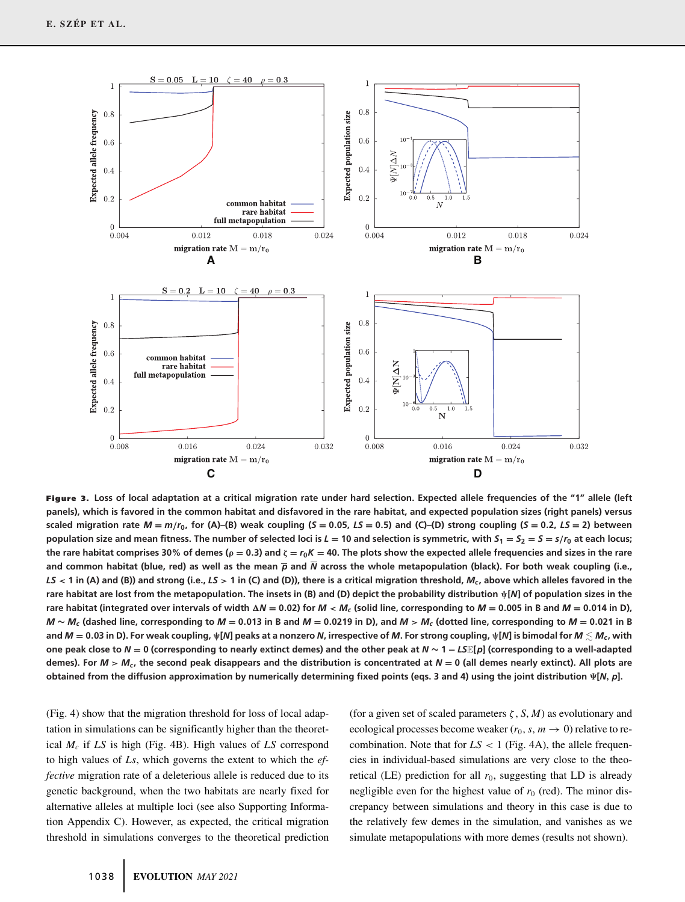

**Figure 3. Loss of local adaptation at a critical migration rate under hard selection. Expected allele frequencies of the "1" allele (left panels), which is favored in the common habitat and disfavored in the rare habitat, and expected population sizes (right panels) versus** scaled migration rate  $M = m/r_0$ , for (A)-(B) weak coupling (S = 0.05, LS = 0.5) and (C)-(D) strong coupling (S = 0.2, LS = 2) between population size and mean fitness. The number of selected loci is  $L = 10$  and selection is symmetric, with  $S_1 = S_2 = S = s/r_0$  at each locus; the rare habitat comprises 30% of demes ( $\rho = 0.3$ ) and  $\zeta = r_0 K = 40$ . The plots show the expected allele frequencies and sizes in the rare **and common habitat (blue, red) as well as the mean** *p* **and** *N* **across the whole metapopulation (black). For both weak coupling (i.e.,** *LS* **< 1 in (A) and (B)) and strong (i.e.,** *LS* **> 1 in (C) and (D)), there is a critical migration threshold,** *Mc* **, above which alleles favored in the rare habitat are lost from the metapopulation. The insets in (B) and (D) depict the probability distribution ψ[***N***] of population sizes in the** rare habitat (integrated over intervals of width  $\Delta N = 0.02$ ) for  $M < M_c$  (solid line, corresponding to  $M = 0.005$  in B and  $M = 0.014$  in D),  $M \sim M_c$  (dashed line, corresponding to  $M = 0.013$  in B and  $M = 0.0219$  in D), and  $M > M_c$  (dotted line, corresponding to  $M = 0.021$  in B and  $M = 0.03$  in D). For weak coupling,  $\psi[N]$  peaks at a nonzero N, irrespective of M. For strong coupling,  $\psi[N]$  is bimodal for  $M \lesssim M_c$ , with **one peak close to** *<sup>N</sup>* **<sup>=</sup> 0 (corresponding to nearly extinct demes) and the other peak at** *<sup>N</sup>* **<sup>∼</sup> <sup>1</sup> <sup>−</sup>** *LS*E**[***p***] (corresponding to a well-adapted** demes). For  $M > M_c$ , the second peak disappears and the distribution is concentrated at  $N = 0$  (all demes nearly extinct). All plots are **obtained from the diffusion approximation by numerically determining fixed points (eqs. 3 and 4) using the joint distribution [***N***,** *p***].**

(Fig. 4) show that the migration threshold for loss of local adaptation in simulations can be significantly higher than the theoretical *Mc* if *LS* is high (Fig. 4B). High values of *LS* correspond to high values of *Ls*, which governs the extent to which the *effective* migration rate of a deleterious allele is reduced due to its genetic background, when the two habitats are nearly fixed for alternative alleles at multiple loci (see also Supporting Information Appendix C). However, as expected, the critical migration threshold in simulations converges to the theoretical prediction (for a given set of scaled parameters  $\zeta$ , *S*, *M*) as evolutionary and ecological processes become weaker  $(r_0, s, m \rightarrow 0)$  relative to recombination. Note that for  $LS < 1$  (Fig. 4A), the allele frequencies in individual-based simulations are very close to the theoretical (LE) prediction for all  $r_0$ , suggesting that LD is already negligible even for the highest value of  $r_0$  (red). The minor discrepancy between simulations and theory in this case is due to the relatively few demes in the simulation, and vanishes as we simulate metapopulations with more demes (results not shown).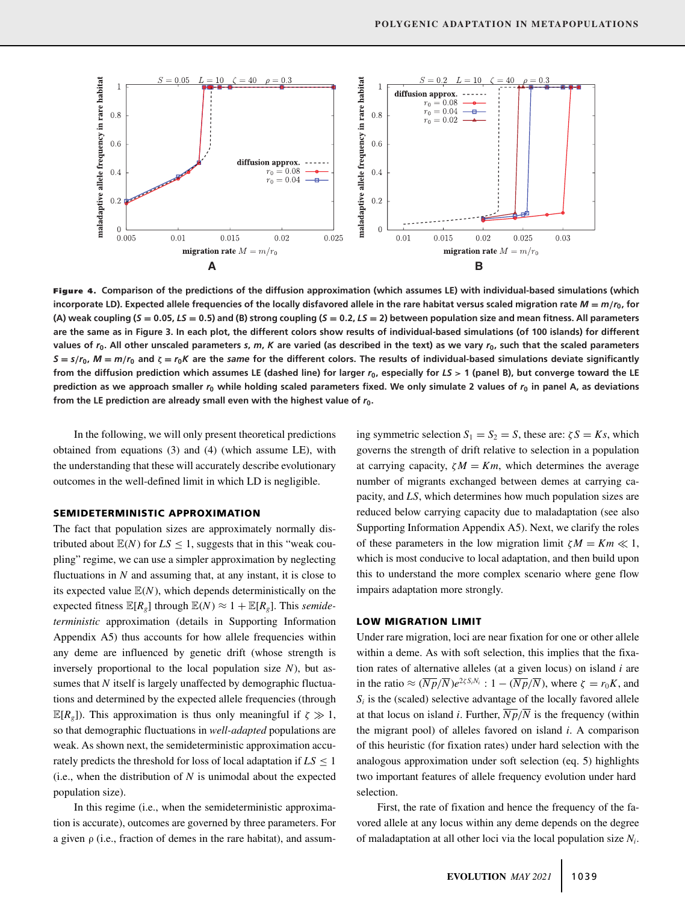

**Figure 4. Comparison of the predictions of the diffusion approximation (which assumes LE) with individual-based simulations (which incorporate LD). Expected allele frequencies of the locally disfavored allele in the rare habitat versus scaled migration rate** *<sup>M</sup>* **<sup>=</sup>** *<sup>m</sup>***/***r***0, for** (A) weak coupling (S = 0.05, LS = 0.5) and (B) strong coupling (S = 0.2, LS = 2) between population size and mean fitness. All parameters **are the same as in Figure 3. In each plot, the different colors show results of individual-based simulations (of 100 islands) for different values of** *r***0. All other unscaled parameters** *s***,** *m***,** *K* **are varied (as described in the text) as we vary** *r***0, such that the scaled parameters**  $S = s/r_0$ ,  $M = m/r_0$  and  $\zeta = r_0K$  are the same for the different colors. The results of individual-based simulations deviate significantly **from the diffusion prediction which assumes LE (dashed line) for larger** *r***0, especially for** *LS* **> 1 (panel B), but converge toward the LE prediction as we approach smaller** *r***<sup>0</sup> while holding scaled parameters fixed. We only simulate 2 values of** *r***<sup>0</sup> in panel A, as deviations from the LE prediction are already small even with the highest value of** *r***0.**

In the following, we will only present theoretical predictions obtained from equations (3) and (4) (which assume LE), with the understanding that these will accurately describe evolutionary outcomes in the well-defined limit in which LD is negligible.

### **SEMIDETERMINISTIC APPROXIMATION**

The fact that population sizes are approximately normally distributed about  $\mathbb{E}(N)$  for  $LS < 1$ , suggests that in this "weak coupling" regime, we can use a simpler approximation by neglecting fluctuations in *N* and assuming that, at any instant, it is close to its expected value  $E(N)$ , which depends deterministically on the expected fitness  $\mathbb{E}[R_g]$  through  $\mathbb{E}(N) \approx 1 + \mathbb{E}[R_g]$ . This *semideterministic* approximation (details in Supporting Information Appendix A5) thus accounts for how allele frequencies within any deme are influenced by genetic drift (whose strength is inversely proportional to the local population size *N*), but assumes that *N* itself is largely unaffected by demographic fluctuations and determined by the expected allele frequencies (through  $\mathbb{E}[R_{g}]$ ). This approximation is thus only meaningful if  $\zeta \gg 1$ , so that demographic fluctuations in *well-adapted* populations are weak. As shown next, the semideterministic approximation accurately predicts the threshold for loss of local adaptation if  $LS \leq 1$ (i.e., when the distribution of  $N$  is unimodal about the expected population size).

In this regime (i.e., when the semideterministic approximation is accurate), outcomes are governed by three parameters. For a given  $\rho$  (i.e., fraction of demes in the rare habitat), and assuming symmetric selection  $S_1 = S_2 = S$ , these are:  $\zeta S = Ks$ , which governs the strength of drift relative to selection in a population at carrying capacity,  $\zeta M = Km$ , which determines the average number of migrants exchanged between demes at carrying capacity, and *LS*, which determines how much population sizes are reduced below carrying capacity due to maladaptation (see also Supporting Information Appendix A5). Next, we clarify the roles of these parameters in the low migration limit  $\zeta M = Km \ll 1$ , which is most conducive to local adaptation, and then build upon this to understand the more complex scenario where gene flow impairs adaptation more strongly.

## **LOW MIGRATION LIMIT**

Under rare migration, loci are near fixation for one or other allele within a deme. As with soft selection, this implies that the fixation rates of alternative alleles (at a given locus) on island *i* are in the ratio  $\approx (\overline{Np}/\overline{N})e^{2\zeta S/N_i}$ : 1 –  $(\overline{Np}/\overline{N})$ , where  $\zeta = r_0K$ , and  $S_i$  is the (scaled) selective advantage of the locally favored allele at that locus on island *i*. Further,  $\overline{Np}/\overline{N}$  is the frequency (within the migrant pool) of alleles favored on island *i*. A comparison of this heuristic (for fixation rates) under hard selection with the analogous approximation under soft selection (eq. 5) highlights two important features of allele frequency evolution under hard selection.

First, the rate of fixation and hence the frequency of the favored allele at any locus within any deme depends on the degree of maladaptation at all other loci via the local population size *Ni*.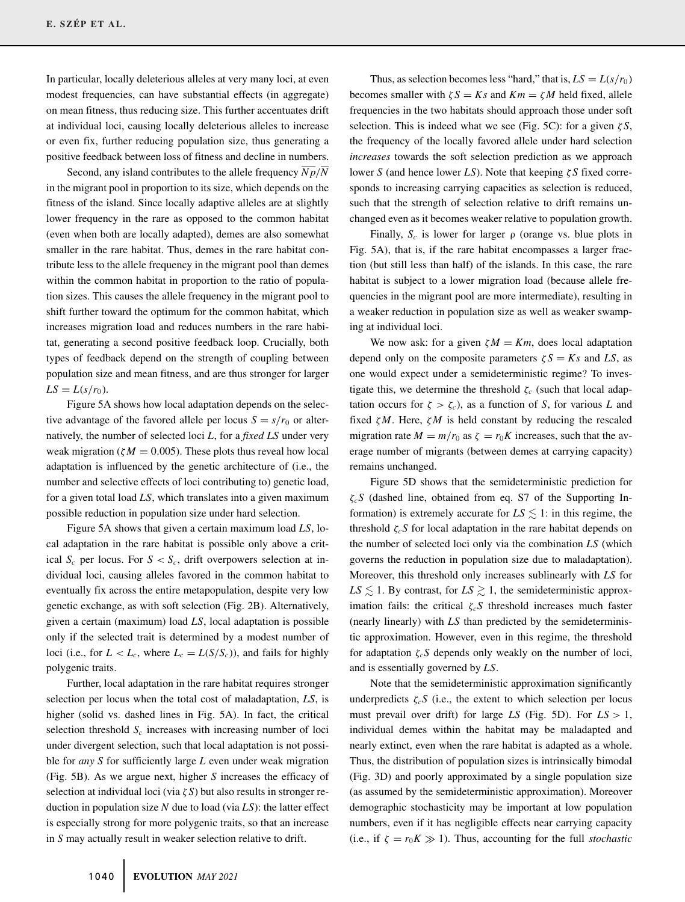In particular, locally deleterious alleles at very many loci, at even modest frequencies, can have substantial effects (in aggregate) on mean fitness, thus reducing size. This further accentuates drift at individual loci, causing locally deleterious alleles to increase or even fix, further reducing population size, thus generating a positive feedback between loss of fitness and decline in numbers.

Second, any island contributes to the allele frequency  $\overline{Np}/\overline{N}$ in the migrant pool in proportion to its size, which depends on the fitness of the island. Since locally adaptive alleles are at slightly lower frequency in the rare as opposed to the common habitat (even when both are locally adapted), demes are also somewhat smaller in the rare habitat. Thus, demes in the rare habitat contribute less to the allele frequency in the migrant pool than demes within the common habitat in proportion to the ratio of population sizes. This causes the allele frequency in the migrant pool to shift further toward the optimum for the common habitat, which increases migration load and reduces numbers in the rare habitat, generating a second positive feedback loop. Crucially, both types of feedback depend on the strength of coupling between population size and mean fitness, and are thus stronger for larger  $LS = L(s/r_0)$ .

Figure 5A shows how local adaptation depends on the selective advantage of the favored allele per locus  $S = s/r_0$  or alternatively, the number of selected loci *L*, for a *fixed LS* under very weak migration ( $\zeta M = 0.005$ ). These plots thus reveal how local adaptation is influenced by the genetic architecture of (i.e., the number and selective effects of loci contributing to) genetic load, for a given total load *LS*, which translates into a given maximum possible reduction in population size under hard selection.

Figure 5A shows that given a certain maximum load *LS*, local adaptation in the rare habitat is possible only above a critical  $S_c$  per locus. For  $S < S_c$ , drift overpowers selection at individual loci, causing alleles favored in the common habitat to eventually fix across the entire metapopulation, despite very low genetic exchange, as with soft selection (Fig. 2B). Alternatively, given a certain (maximum) load *LS*, local adaptation is possible only if the selected trait is determined by a modest number of loci (i.e., for  $L < L_c$ , where  $L_c = L(S/S_c)$ ), and fails for highly polygenic traits.

Further, local adaptation in the rare habitat requires stronger selection per locus when the total cost of maladaptation, *LS*, is higher (solid vs. dashed lines in Fig. 5A). In fact, the critical selection threshold  $S_c$  increases with increasing number of loci under divergent selection, such that local adaptation is not possible for *any S* for sufficiently large *L* even under weak migration (Fig. 5B). As we argue next, higher *S* increases the efficacy of selection at individual loci (via  $\zeta S$ ) but also results in stronger reduction in population size *N* due to load (via *LS*): the latter effect is especially strong for more polygenic traits, so that an increase in *S* may actually result in weaker selection relative to drift.

Thus, as selection becomes less "hard," that is,  $LS = L(s/r_0)$ becomes smaller with  $\zeta S = Ks$  and  $Km = \zeta M$  held fixed, allele frequencies in the two habitats should approach those under soft selection. This is indeed what we see (Fig. 5C): for a given  $\zeta S$ , the frequency of the locally favored allele under hard selection *increases* towards the soft selection prediction as we approach lower *S* (and hence lower *LS*). Note that keeping ζ *S* fixed corresponds to increasing carrying capacities as selection is reduced, such that the strength of selection relative to drift remains unchanged even as it becomes weaker relative to population growth.

Finally,  $S_c$  is lower for larger  $\rho$  (orange vs. blue plots in Fig. 5A), that is, if the rare habitat encompasses a larger fraction (but still less than half) of the islands. In this case, the rare habitat is subject to a lower migration load (because allele frequencies in the migrant pool are more intermediate), resulting in a weaker reduction in population size as well as weaker swamping at individual loci.

We now ask: for a given  $\zeta M = Km$ , does local adaptation depend only on the composite parameters  $\zeta S = Ks$  and *LS*, as one would expect under a semideterministic regime? To investigate this, we determine the threshold  $\zeta_c$  (such that local adaptation occurs for  $\zeta > \zeta_c$ ), as a function of *S*, for various *L* and fixed ζ*M*. Here, ζ*M* is held constant by reducing the rescaled migration rate  $M = m/r_0$  as  $\zeta = r_0 K$  increases, such that the average number of migrants (between demes at carrying capacity) remains unchanged.

Figure 5D shows that the semideterministic prediction for ζ*cS* (dashed line, obtained from eq. S7 of the Supporting Information) is extremely accurate for  $LS \leq 1$ : in this regime, the threshold  $\zeta_c$ S for local adaptation in the rare habitat depends on the number of selected loci only via the combination *LS* (which governs the reduction in population size due to maladaptation). Moreover, this threshold only increases sublinearly with *LS* for  $LS \lesssim 1$ . By contrast, for  $LS \gtrsim 1$ , the semideterministic approximation fails: the critical  $\zeta_c$ S threshold increases much faster (nearly linearly) with *LS* than predicted by the semideterministic approximation. However, even in this regime, the threshold for adaptation  $\zeta_c$ S depends only weakly on the number of loci, and is essentially governed by *LS*.

Note that the semideterministic approximation significantly underpredicts  $\zeta_c$ S (i.e., the extent to which selection per locus must prevail over drift) for large *LS* (Fig. 5D). For *LS* > 1, individual demes within the habitat may be maladapted and nearly extinct, even when the rare habitat is adapted as a whole. Thus, the distribution of population sizes is intrinsically bimodal (Fig. 3D) and poorly approximated by a single population size (as assumed by the semideterministic approximation). Moreover demographic stochasticity may be important at low population numbers, even if it has negligible effects near carrying capacity (i.e., if  $\zeta = r_0 K \gg 1$ ). Thus, accounting for the full *stochastic*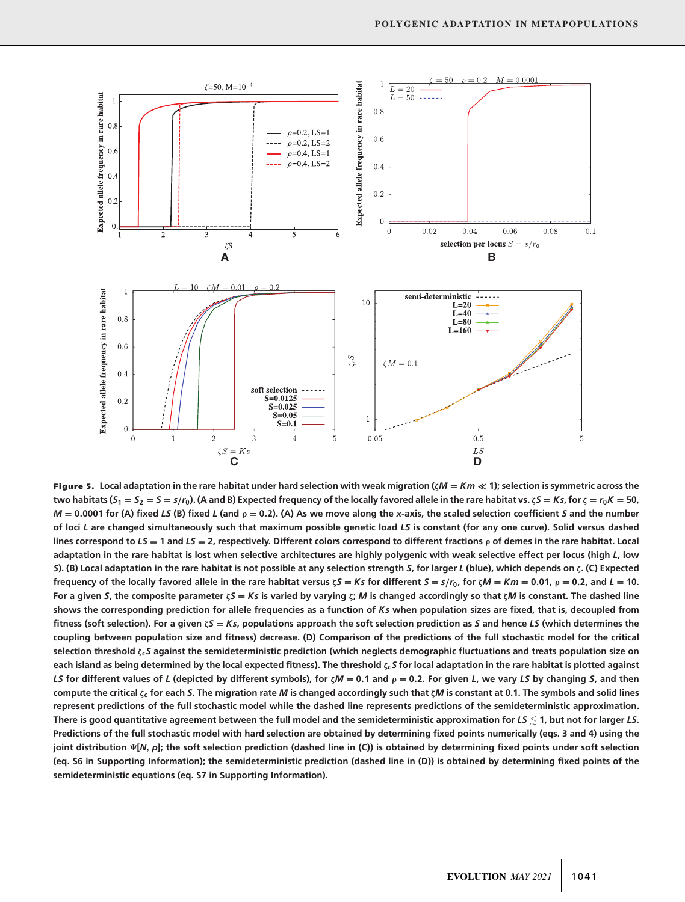

**Figure 5. Local adaptation in the rare habitat under hard selection with weak migration (ζ***<sup>M</sup>* **<sup>=</sup>** *Km* **1); selection is symmetric across the** two habitats  $(S_1 = S_2 = S = s/r_0)$ . (A and B) Expected frequency of the locally favored allele in the rare habitat vs.  $\zeta S = Ks$ , for  $\zeta = r_0K = 50$ ,  $M = 0.0001$  for (A) fixed LS (B) fixed L (and  $\rho = 0.2$ ). (A) As we move along the x-axis, the scaled selection coefficient S and the number **of loci** *L* **are changed simultaneously such that maximum possible genetic load** *LS* **is constant (for any one curve). Solid versus dashed** lines correspond to  $LS = 1$  and  $LS = 2$ , respectively. Different colors correspond to different fractions  $\rho$  of demes in the rare habitat. Local **adaptation in the rare habitat is lost when selective architectures are highly polygenic with weak selective effect per locus (high** *L***, low** *S***). (B) Local adaptation in the rare habitat is not possible at any selection strength** *S***, for larger** *L* **(blue), which depends on ζ. (C) Expected** frequency of the locally favored allele in the rare habitat versus  $\zeta S = Ks$  for different  $S = s/r_0$ , for  $\zeta M = Km = 0.01$ ,  $\rho = 0.2$ , and  $L = 10$ . For a given S, the composite parameter  $\zeta$ S = Ks is varied by varying  $\zeta$ ; M is changed accordingly so that  $\zeta$ M is constant. The dashed line **shows the corresponding prediction for allele frequencies as a function of** *Ks* **when population sizes are fixed, that is, decoupled from fitness (soft selection). For a given <sup>ζ</sup>***<sup>S</sup>* **<sup>=</sup>** *Ks***, populations approach the soft selection prediction as** *<sup>S</sup>* **and hence** *LS* **(which determines the coupling between population size and fitness) decrease. (D) Comparison of the predictions of the full stochastic model for the critical selection threshold ζ***cS* **against the semideterministic prediction (which neglects demographic fluctuations and treats population size on each island as being determined by the local expected fitness). The threshold ζ***cS* **for local adaptation in the rare habitat is plotted against** LS for different values of L (depicted by different symbols), for  $\zeta M = 0.1$  and  $\rho = 0.2$ . For given L, we vary LS by changing S, and then **compute the critical ζ***<sup>c</sup>* **for each** *S***. The migration rate** *M* **is changed accordingly such that ζ***M* **is constant at 0.1. The symbols and solid lines represent predictions of the full stochastic model while the dashed line represents predictions of the semideterministic approximation. There is good quantitative agreement between the full model and the semideterministic approximation for** *LS* **1, but not for larger** *LS***. Predictions of the full stochastic model with hard selection are obtained by determining fixed points numerically (eqs. 3 and 4) using the joint distribution [***N***,** *p***]; the soft selection prediction (dashed line in (C)) is obtained by determining fixed points under soft selection (eq. S6 in Supporting Information); the semideterministic prediction (dashed line in (D)) is obtained by determining fixed points of the semideterministic equations (eq. S7 in Supporting Information).**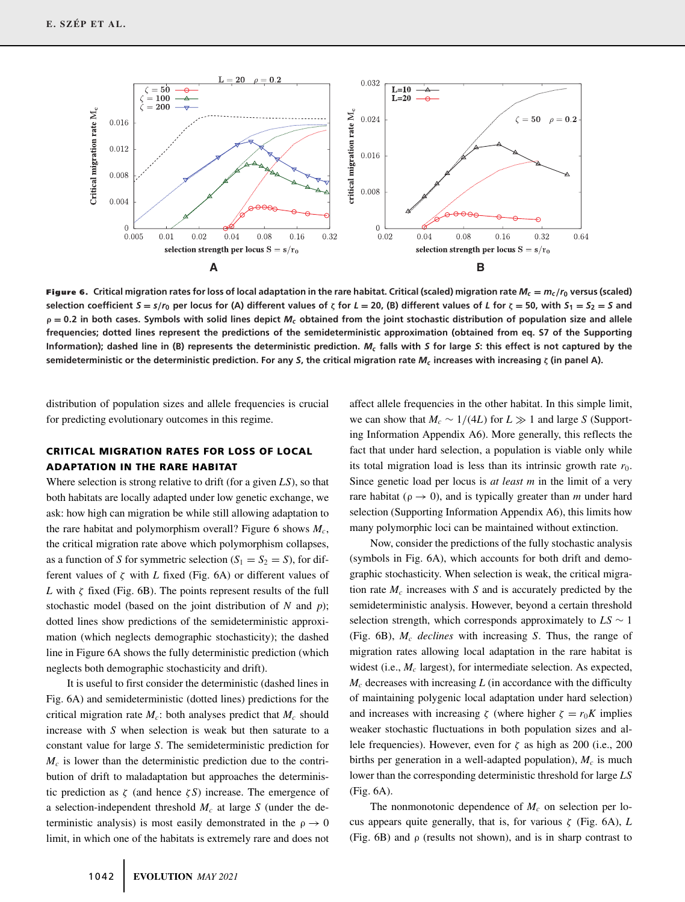

**Figure 6.** Critical migration rates for loss of local adaptation in the rare habitat. Critical (scaled) migration rate  $M_c = m_c/r_0$  versus (scaled) selection coefficient  $S = s/r_0$  per locus for (A) different values of  $\zeta$  for  $L = 20$ , (B) different values of L for  $\zeta = 50$ , with  $S_1 = S_2 = S$  and **<sup>ρ</sup> <sup>=</sup> <sup>0</sup>.2 in both cases. Symbols with solid lines depict** *Mc* **obtained from the joint stochastic distribution of population size and allele frequencies; dotted lines represent the predictions of the semideterministic approximation (obtained from eq. S7 of the Supporting Information); dashed line in (B) represents the deterministic prediction.** *Mc* **falls with** *S* **for large** *S***: this effect is not captured by the semideterministic or the deterministic prediction. For any** *S***, the critical migration rate** *Mc* **increases with increasing ζ (in panel A).**

distribution of population sizes and allele frequencies is crucial for predicting evolutionary outcomes in this regime.

# **CRITICAL MIGRATION RATES FOR LOSS OF LOCAL ADAPTATION IN THE RARE HABITAT**

Where selection is strong relative to drift (for a given *LS*), so that both habitats are locally adapted under low genetic exchange, we ask: how high can migration be while still allowing adaptation to the rare habitat and polymorphism overall? Figure 6 shows  $M_c$ , the critical migration rate above which polymorphism collapses, as a function of *S* for symmetric selection  $(S_1 = S_2 = S)$ , for different values of  $\zeta$  with *L* fixed (Fig. 6A) or different values of *L* with  $\zeta$  fixed (Fig. 6B). The points represent results of the full stochastic model (based on the joint distribution of *N* and *p*); dotted lines show predictions of the semideterministic approximation (which neglects demographic stochasticity); the dashed line in Figure 6A shows the fully deterministic prediction (which neglects both demographic stochasticity and drift).

It is useful to first consider the deterministic (dashed lines in Fig. 6A) and semideterministic (dotted lines) predictions for the critical migration rate  $M_c$ : both analyses predict that  $M_c$  should increase with *S* when selection is weak but then saturate to a constant value for large *S*. The semideterministic prediction for  $M_c$  is lower than the deterministic prediction due to the contribution of drift to maladaptation but approaches the deterministic prediction as  $\zeta$  (and hence  $\zeta$ S) increase. The emergence of a selection-independent threshold *Mc* at large *S* (under the deterministic analysis) is most easily demonstrated in the  $\rho \rightarrow 0$ limit, in which one of the habitats is extremely rare and does not

affect allele frequencies in the other habitat. In this simple limit, we can show that  $M_c \sim 1/(4L)$  for  $L \gg 1$  and large *S* (Supporting Information Appendix A6). More generally, this reflects the fact that under hard selection, a population is viable only while its total migration load is less than its intrinsic growth rate  $r_0$ . Since genetic load per locus is *at least m* in the limit of a very rare habitat ( $\rho \rightarrow 0$ ), and is typically greater than *m* under hard selection (Supporting Information Appendix A6), this limits how many polymorphic loci can be maintained without extinction.

Now, consider the predictions of the fully stochastic analysis (symbols in Fig. 6A), which accounts for both drift and demographic stochasticity. When selection is weak, the critical migration rate  $M_c$  increases with  $S$  and is accurately predicted by the semideterministic analysis. However, beyond a certain threshold selection strength, which corresponds approximately to  $LS \sim 1$ (Fig. 6B), *Mc declines* with increasing *S*. Thus, the range of migration rates allowing local adaptation in the rare habitat is widest (i.e.,  $M_c$  largest), for intermediate selection. As expected,  $M_c$  decreases with increasing  $L$  (in accordance with the difficulty of maintaining polygenic local adaptation under hard selection) and increases with increasing  $\zeta$  (where higher  $\zeta = r_0 K$  implies weaker stochastic fluctuations in both population sizes and allele frequencies). However, even for  $\zeta$  as high as 200 (i.e., 200 births per generation in a well-adapted population),  $M_c$  is much lower than the corresponding deterministic threshold for large *LS* (Fig. 6A).

The nonmonotonic dependence of  $M_c$  on selection per locus appears quite generally, that is, for various  $\zeta$  (Fig. 6A), *L* (Fig.  $6B$ ) and  $\rho$  (results not shown), and is in sharp contrast to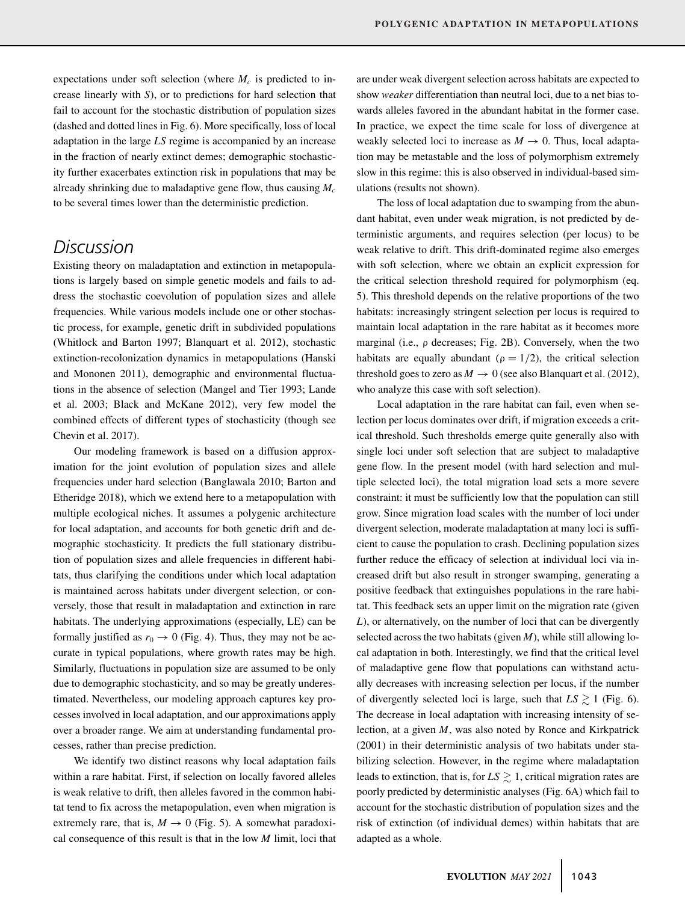expectations under soft selection (where  $M_c$  is predicted to increase linearly with *S*), or to predictions for hard selection that fail to account for the stochastic distribution of population sizes (dashed and dotted lines in Fig. 6). More specifically, loss of local adaptation in the large *LS* regime is accompanied by an increase in the fraction of nearly extinct demes; demographic stochasticity further exacerbates extinction risk in populations that may be already shrinking due to maladaptive gene flow, thus causing *Mc* to be several times lower than the deterministic prediction.

# *Discussion*

Existing theory on maladaptation and extinction in metapopulations is largely based on simple genetic models and fails to address the stochastic coevolution of population sizes and allele frequencies. While various models include one or other stochastic process, for example, genetic drift in subdivided populations (Whitlock and Barton 1997; Blanquart et al. 2012), stochastic extinction-recolonization dynamics in metapopulations (Hanski and Mononen 2011), demographic and environmental fluctuations in the absence of selection (Mangel and Tier 1993; Lande et al. 2003; Black and McKane 2012), very few model the combined effects of different types of stochasticity (though see Chevin et al. 2017).

Our modeling framework is based on a diffusion approximation for the joint evolution of population sizes and allele frequencies under hard selection (Banglawala 2010; Barton and Etheridge 2018), which we extend here to a metapopulation with multiple ecological niches. It assumes a polygenic architecture for local adaptation, and accounts for both genetic drift and demographic stochasticity. It predicts the full stationary distribution of population sizes and allele frequencies in different habitats, thus clarifying the conditions under which local adaptation is maintained across habitats under divergent selection, or conversely, those that result in maladaptation and extinction in rare habitats. The underlying approximations (especially, LE) can be formally justified as  $r_0 \rightarrow 0$  (Fig. 4). Thus, they may not be accurate in typical populations, where growth rates may be high. Similarly, fluctuations in population size are assumed to be only due to demographic stochasticity, and so may be greatly underestimated. Nevertheless, our modeling approach captures key processes involved in local adaptation, and our approximations apply over a broader range. We aim at understanding fundamental processes, rather than precise prediction.

We identify two distinct reasons why local adaptation fails within a rare habitat. First, if selection on locally favored alleles is weak relative to drift, then alleles favored in the common habitat tend to fix across the metapopulation, even when migration is extremely rare, that is,  $M \rightarrow 0$  (Fig. 5). A somewhat paradoxical consequence of this result is that in the low *M* limit, loci that are under weak divergent selection across habitats are expected to show *weaker* differentiation than neutral loci, due to a net bias towards alleles favored in the abundant habitat in the former case. In practice, we expect the time scale for loss of divergence at weakly selected loci to increase as  $M \to 0$ . Thus, local adaptation may be metastable and the loss of polymorphism extremely slow in this regime: this is also observed in individual-based simulations (results not shown).

The loss of local adaptation due to swamping from the abundant habitat, even under weak migration, is not predicted by deterministic arguments, and requires selection (per locus) to be weak relative to drift. This drift-dominated regime also emerges with soft selection, where we obtain an explicit expression for the critical selection threshold required for polymorphism (eq. 5). This threshold depends on the relative proportions of the two habitats: increasingly stringent selection per locus is required to maintain local adaptation in the rare habitat as it becomes more marginal (i.e.,  $\rho$  decreases; Fig. 2B). Conversely, when the two habitats are equally abundant ( $\rho = 1/2$ ), the critical selection threshold goes to zero as  $M \to 0$  (see also Blanquart et al. (2012), who analyze this case with soft selection).

Local adaptation in the rare habitat can fail, even when selection per locus dominates over drift, if migration exceeds a critical threshold. Such thresholds emerge quite generally also with single loci under soft selection that are subject to maladaptive gene flow. In the present model (with hard selection and multiple selected loci), the total migration load sets a more severe constraint: it must be sufficiently low that the population can still grow. Since migration load scales with the number of loci under divergent selection, moderate maladaptation at many loci is sufficient to cause the population to crash. Declining population sizes further reduce the efficacy of selection at individual loci via increased drift but also result in stronger swamping, generating a positive feedback that extinguishes populations in the rare habitat. This feedback sets an upper limit on the migration rate (given *L*), or alternatively, on the number of loci that can be divergently selected across the two habitats (given  $M$ ), while still allowing local adaptation in both. Interestingly, we find that the critical level of maladaptive gene flow that populations can withstand actually decreases with increasing selection per locus, if the number of divergently selected loci is large, such that  $LS \gtrsim 1$  (Fig. 6). The decrease in local adaptation with increasing intensity of selection, at a given *M*, was also noted by Ronce and Kirkpatrick (2001) in their deterministic analysis of two habitats under stabilizing selection. However, in the regime where maladaptation leads to extinction, that is, for  $LS \gtrsim 1$ , critical migration rates are poorly predicted by deterministic analyses (Fig. 6A) which fail to account for the stochastic distribution of population sizes and the risk of extinction (of individual demes) within habitats that are adapted as a whole.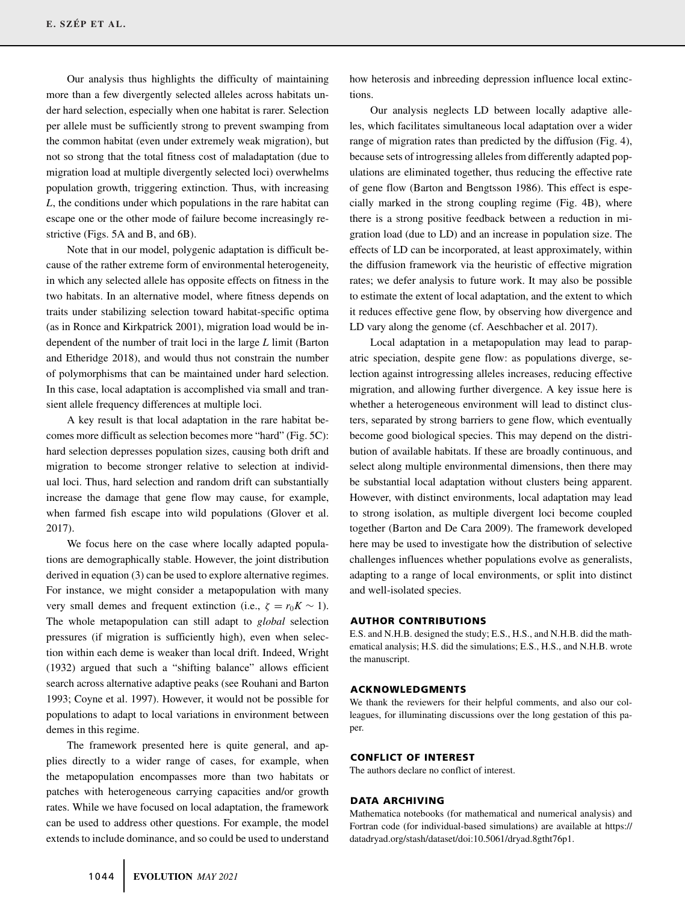Our analysis thus highlights the difficulty of maintaining more than a few divergently selected alleles across habitats under hard selection, especially when one habitat is rarer. Selection per allele must be sufficiently strong to prevent swamping from the common habitat (even under extremely weak migration), but not so strong that the total fitness cost of maladaptation (due to migration load at multiple divergently selected loci) overwhelms population growth, triggering extinction. Thus, with increasing *L*, the conditions under which populations in the rare habitat can escape one or the other mode of failure become increasingly restrictive (Figs. 5A and B, and 6B).

Note that in our model, polygenic adaptation is difficult because of the rather extreme form of environmental heterogeneity, in which any selected allele has opposite effects on fitness in the two habitats. In an alternative model, where fitness depends on traits under stabilizing selection toward habitat-specific optima (as in Ronce and Kirkpatrick 2001), migration load would be independent of the number of trait loci in the large *L* limit (Barton and Etheridge 2018), and would thus not constrain the number of polymorphisms that can be maintained under hard selection. In this case, local adaptation is accomplished via small and transient allele frequency differences at multiple loci.

A key result is that local adaptation in the rare habitat becomes more difficult as selection becomes more "hard" (Fig. 5C): hard selection depresses population sizes, causing both drift and migration to become stronger relative to selection at individual loci. Thus, hard selection and random drift can substantially increase the damage that gene flow may cause, for example, when farmed fish escape into wild populations (Glover et al. 2017).

We focus here on the case where locally adapted populations are demographically stable. However, the joint distribution derived in equation (3) can be used to explore alternative regimes. For instance, we might consider a metapopulation with many very small demes and frequent extinction (i.e.,  $\zeta = r_0 K \sim 1$ ). The whole metapopulation can still adapt to *global* selection pressures (if migration is sufficiently high), even when selection within each deme is weaker than local drift. Indeed, Wright (1932) argued that such a "shifting balance" allows efficient search across alternative adaptive peaks (see Rouhani and Barton 1993; Coyne et al. 1997). However, it would not be possible for populations to adapt to local variations in environment between demes in this regime.

The framework presented here is quite general, and applies directly to a wider range of cases, for example, when the metapopulation encompasses more than two habitats or patches with heterogeneous carrying capacities and/or growth rates. While we have focused on local adaptation, the framework can be used to address other questions. For example, the model extends to include dominance, and so could be used to understand

how heterosis and inbreeding depression influence local extinctions.

Our analysis neglects LD between locally adaptive alleles, which facilitates simultaneous local adaptation over a wider range of migration rates than predicted by the diffusion (Fig. 4), because sets of introgressing alleles from differently adapted populations are eliminated together, thus reducing the effective rate of gene flow (Barton and Bengtsson 1986). This effect is especially marked in the strong coupling regime (Fig. 4B), where there is a strong positive feedback between a reduction in migration load (due to LD) and an increase in population size. The effects of LD can be incorporated, at least approximately, within the diffusion framework via the heuristic of effective migration rates; we defer analysis to future work. It may also be possible to estimate the extent of local adaptation, and the extent to which it reduces effective gene flow, by observing how divergence and LD vary along the genome (cf. Aeschbacher et al. 2017).

Local adaptation in a metapopulation may lead to parapatric speciation, despite gene flow: as populations diverge, selection against introgressing alleles increases, reducing effective migration, and allowing further divergence. A key issue here is whether a heterogeneous environment will lead to distinct clusters, separated by strong barriers to gene flow, which eventually become good biological species. This may depend on the distribution of available habitats. If these are broadly continuous, and select along multiple environmental dimensions, then there may be substantial local adaptation without clusters being apparent. However, with distinct environments, local adaptation may lead to strong isolation, as multiple divergent loci become coupled together (Barton and De Cara 2009). The framework developed here may be used to investigate how the distribution of selective challenges influences whether populations evolve as generalists, adapting to a range of local environments, or split into distinct and well-isolated species.

#### **AUTHOR CONTRIBUTIONS**

E.S. and N.H.B. designed the study; E.S., H.S., and N.H.B. did the mathematical analysis; H.S. did the simulations; E.S., H.S., and N.H.B. wrote the manuscript.

#### **ACKNOWLEDGMENTS**

We thank the reviewers for their helpful comments, and also our colleagues, for illuminating discussions over the long gestation of this paper.

### **CONFLICT OF INTEREST**

The authors declare no conflict of interest.

#### **DATA ARCHIVING**

Mathematica notebooks (for mathematical and numerical analysis) and Fortran code (for individual-based simulations) are available at [https://](https://datadryad.org/stash/dataset/doi:10.5061/dryad.8gtht76p1) [datadryad.org/stash/dataset/doi:10.5061/dryad.8gtht76p1.](https://datadryad.org/stash/dataset/doi:10.5061/dryad.8gtht76p1)